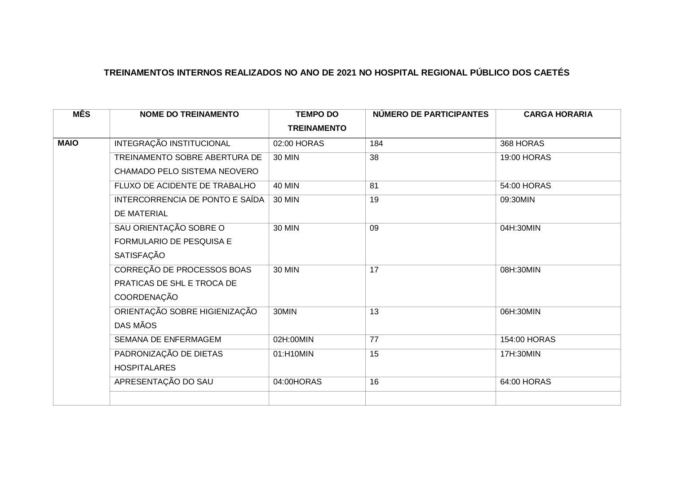| <b>MÊS</b>  | <b>NOME DO TREINAMENTO</b>      | <b>TEMPO DO</b>    | NÚMERO DE PARTICIPANTES | <b>CARGA HORARIA</b> |
|-------------|---------------------------------|--------------------|-------------------------|----------------------|
|             |                                 | <b>TREINAMENTO</b> |                         |                      |
| <b>MAIO</b> | INTEGRAÇÃO INSTITUCIONAL        | 02:00 HORAS        | 184                     | 368 HORAS            |
|             | TREINAMENTO SOBRE ABERTURA DE   | <b>30 MIN</b>      | 38                      | 19:00 HORAS          |
|             | CHAMADO PELO SISTEMA NEOVERO    |                    |                         |                      |
|             | FLUXO DE ACIDENTE DE TRABALHO   | <b>40 MIN</b>      | 81                      | 54:00 HORAS          |
|             | INTERCORRENCIA DE PONTO E SAÍDA | <b>30 MIN</b>      | 19                      | 09:30MIN             |
|             | DE MATERIAL                     |                    |                         |                      |
|             | SAU ORIENTAÇÃO SOBRE O          | <b>30 MIN</b>      | 09                      | 04H:30MIN            |
|             | FORMULARIO DE PESQUISA E        |                    |                         |                      |
|             | SATISFAÇÃO                      |                    |                         |                      |
|             | CORREÇÃO DE PROCESSOS BOAS      | <b>30 MIN</b>      | 17                      | 08H:30MIN            |
|             | PRATICAS DE SHL E TROCA DE      |                    |                         |                      |
|             | COORDENAÇÃO                     |                    |                         |                      |
|             | ORIENTAÇÃO SOBRE HIGIENIZAÇÃO   | 30MIN              | 13                      | 06H:30MIN            |
|             | DAS MÃOS                        |                    |                         |                      |
|             | SEMANA DE ENFERMAGEM            | 02H:00MIN          | 77                      | 154:00 HORAS         |
|             | PADRONIZAÇÃO DE DIETAS          | 01:H10MIN          | 15                      | 17H:30MIN            |
|             | <b>HOSPITALARES</b>             |                    |                         |                      |
|             | APRESENTAÇÃO DO SAU             | 04:00HORAS         | 16                      | 64:00 HORAS          |
|             |                                 |                    |                         |                      |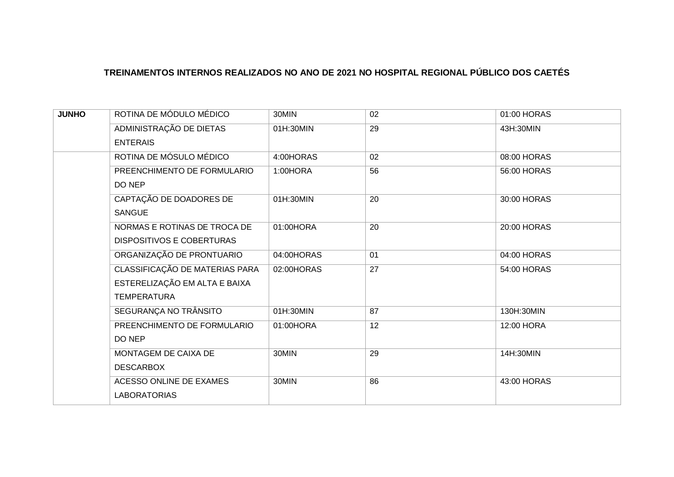| <b>JUNHO</b> | ROTINA DE MÓDULO MÉDICO          | 30MIN      | 02 | 01:00 HORAS |
|--------------|----------------------------------|------------|----|-------------|
|              | ADMINISTRAÇÃO DE DIETAS          | 01H:30MIN  | 29 | 43H:30MIN   |
|              | <b>ENTERAIS</b>                  |            |    |             |
|              | ROTINA DE MÓSULO MÉDICO          | 4:00HORAS  | 02 | 08:00 HORAS |
|              | PREENCHIMENTO DE FORMULARIO      | 1:00HORA   | 56 | 56:00 HORAS |
|              | DO NEP                           |            |    |             |
|              | CAPTAÇÃO DE DOADORES DE          | 01H:30MIN  | 20 | 30:00 HORAS |
|              | <b>SANGUE</b>                    |            |    |             |
|              | NORMAS E ROTINAS DE TROCA DE     | 01:00HORA  | 20 | 20:00 HORAS |
|              | <b>DISPOSITIVOS E COBERTURAS</b> |            |    |             |
|              | ORGANIZAÇÃO DE PRONTUARIO        | 04:00HORAS | 01 | 04:00 HORAS |
|              | CLASSIFICAÇÃO DE MATERIAS PARA   | 02:00HORAS | 27 | 54:00 HORAS |
|              | ESTERELIZAÇÃO EM ALTA E BAIXA    |            |    |             |
|              | <b>TEMPERATURA</b>               |            |    |             |
|              | SEGURANÇA NO TRÂNSITO            | 01H:30MIN  | 87 | 130H:30MIN  |
|              | PREENCHIMENTO DE FORMULARIO      | 01:00HORA  | 12 | 12:00 HORA  |
|              | DO NEP                           |            |    |             |
|              | MONTAGEM DE CAIXA DE             | 30MIN      | 29 | 14H:30MIN   |
|              | <b>DESCARBOX</b>                 |            |    |             |
|              | ACESSO ONLINE DE EXAMES          | 30MIN      | 86 | 43:00 HORAS |
|              | <b>LABORATORIAS</b>              |            |    |             |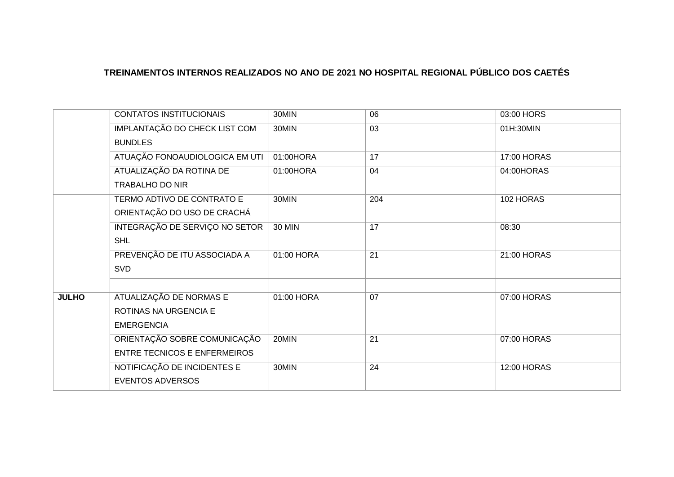|              | CONTATOS INSTITUCIONAIS             | 30MIN      | 06  | 03:00 HORS  |
|--------------|-------------------------------------|------------|-----|-------------|
|              | IMPLANTAÇÃO DO CHECK LIST COM       | 30MIN      | 03  | 01H:30MIN   |
|              | <b>BUNDLES</b>                      |            |     |             |
|              | ATUAÇÃO FONOAUDIOLOGICA EM UTI      | 01:00HORA  | 17  | 17:00 HORAS |
|              | ATUALIZAÇÃO DA ROTINA DE            | 01:00HORA  | 04  | 04:00HORAS  |
|              | <b>TRABALHO DO NIR</b>              |            |     |             |
|              | TERMO ADTIVO DE CONTRATO E          | 30MIN      | 204 | 102 HORAS   |
|              | ORIENTAÇÃO DO USO DE CRACHÁ         |            |     |             |
|              | INTEGRAÇÃO DE SERVIÇO NO SETOR      | 30 MIN     | 17  | 08:30       |
|              | <b>SHL</b>                          |            |     |             |
|              | PREVENÇÃO DE ITU ASSOCIADA A        | 01:00 HORA | 21  | 21:00 HORAS |
|              | <b>SVD</b>                          |            |     |             |
|              |                                     |            |     |             |
| <b>JULHO</b> | ATUALIZAÇÃO DE NORMAS E             | 01:00 HORA | 07  | 07:00 HORAS |
|              | <b>ROTINAS NA URGENCIA E</b>        |            |     |             |
|              | <b>EMERGENCIA</b>                   |            |     |             |
|              | ORIENTAÇÃO SOBRE COMUNICAÇÃO        | 20MIN      | 21  | 07:00 HORAS |
|              | <b>ENTRE TECNICOS E ENFERMEIROS</b> |            |     |             |
|              | NOTIFICAÇÃO DE INCIDENTES E         | 30MIN      | 24  | 12:00 HORAS |
|              | <b>EVENTOS ADVERSOS</b>             |            |     |             |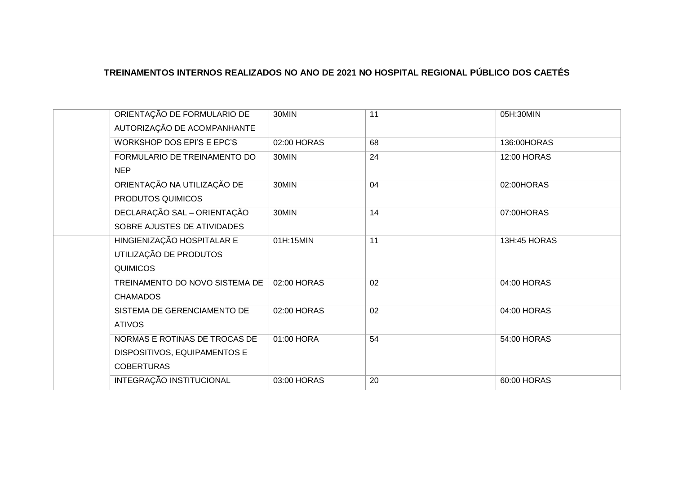| ORIENTAÇÃO DE FORMULARIO DE<br>AUTORIZAÇÃO DE ACOMPANHANTE | 30MIN       | 11 | 05H:30MIN    |
|------------------------------------------------------------|-------------|----|--------------|
| <b>WORKSHOP DOS EPI'S E EPC'S</b>                          | 02:00 HORAS | 68 | 136:00HORAS  |
| FORMULARIO DE TREINAMENTO DO                               | 30MIN       | 24 | 12:00 HORAS  |
| <b>NEP</b>                                                 |             |    |              |
| ORIENTAÇÃO NA UTILIZAÇÃO DE                                | 30MIN       | 04 | 02:00HORAS   |
| PRODUTOS QUIMICOS                                          |             |    |              |
| DECLARAÇÃO SAL - ORIENTAÇÃO                                | 30MIN       | 14 | 07:00HORAS   |
| SOBRE AJUSTES DE ATIVIDADES                                |             |    |              |
| HINGIENIZAÇÃO HOSPITALAR E                                 | 01H:15MIN   | 11 | 13H:45 HORAS |
| UTILIZAÇÃO DE PRODUTOS                                     |             |    |              |
| <b>QUIMICOS</b>                                            |             |    |              |
| TREINAMENTO DO NOVO SISTEMA DE                             | 02:00 HORAS | 02 | 04:00 HORAS  |
| <b>CHAMADOS</b>                                            |             |    |              |
| SISTEMA DE GERENCIAMENTO DE                                | 02:00 HORAS | 02 | 04:00 HORAS  |
| <b>ATIVOS</b>                                              |             |    |              |
| NORMAS E ROTINAS DE TROCAS DE                              | 01:00 HORA  | 54 | 54:00 HORAS  |
| DISPOSITIVOS, EQUIPAMENTOS E                               |             |    |              |
| <b>COBERTURAS</b>                                          |             |    |              |
| INTEGRAÇÃO INSTITUCIONAL                                   | 03:00 HORAS | 20 | 60:00 HORAS  |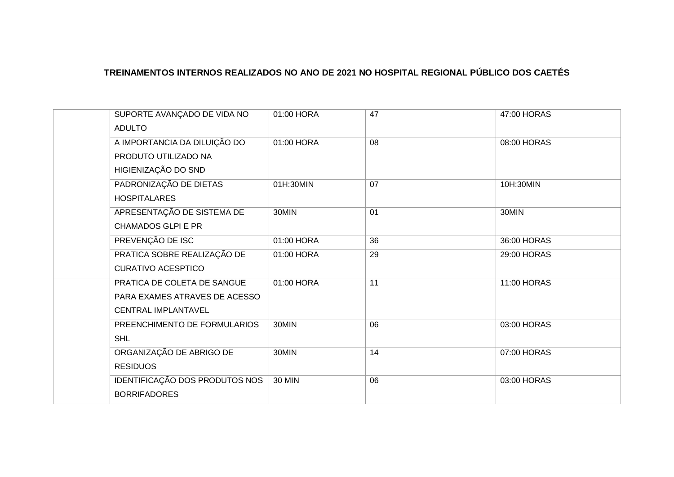| 47:00 HORAS |
|-------------|
|             |
| 08:00 HORAS |
|             |
|             |
| 10H:30MIN   |
|             |
| 30MIN       |
|             |
| 36:00 HORAS |
| 29:00 HORAS |
|             |
| 11:00 HORAS |
|             |
|             |
| 03:00 HORAS |
|             |
| 07:00 HORAS |
|             |
| 03:00 HORAS |
|             |
|             |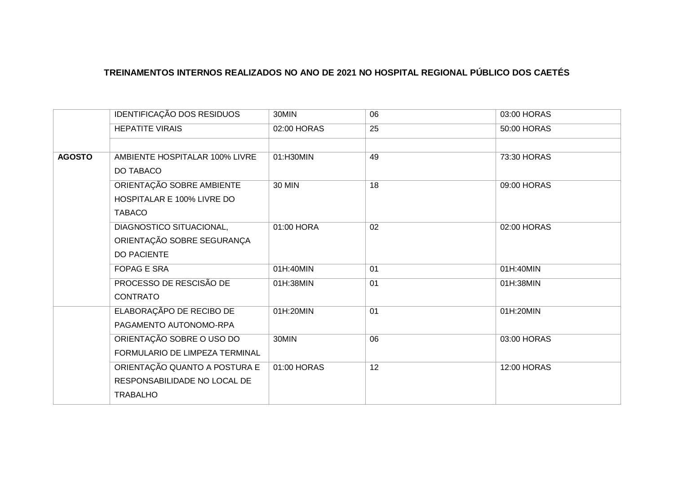|               | IDENTIFICAÇÃO DOS RESIDUOS     | 30MIN         | 06 | 03:00 HORAS |
|---------------|--------------------------------|---------------|----|-------------|
|               | <b>HEPATITE VIRAIS</b>         | 02:00 HORAS   | 25 | 50:00 HORAS |
|               |                                |               |    |             |
| <b>AGOSTO</b> | AMBIENTE HOSPITALAR 100% LIVRE | 01:H30MIN     | 49 | 73:30 HORAS |
|               | DO TABACO                      |               |    |             |
|               | ORIENTAÇÃO SOBRE AMBIENTE      | <b>30 MIN</b> | 18 | 09:00 HORAS |
|               | HOSPITALAR E 100% LIVRE DO     |               |    |             |
|               | <b>TABACO</b>                  |               |    |             |
|               | DIAGNOSTICO SITUACIONAL,       | 01:00 HORA    | 02 | 02:00 HORAS |
|               | ORIENTAÇÃO SOBRE SEGURANÇA     |               |    |             |
|               | <b>DO PACIENTE</b>             |               |    |             |
|               | FOPAG E SRA                    | 01H:40MIN     | 01 | 01H:40MIN   |
|               | PROCESSO DE RESCISÃO DE        | 01H:38MIN     | 01 | 01H:38MIN   |
|               | <b>CONTRATO</b>                |               |    |             |
|               | ELABORAÇÃPO DE RECIBO DE       | 01H:20MIN     | 01 | 01H:20MIN   |
|               | PAGAMENTO AUTONOMO-RPA         |               |    |             |
|               | ORIENTAÇÃO SOBRE O USO DO      | 30MIN         | 06 | 03:00 HORAS |
|               | FORMULARIO DE LIMPEZA TERMINAL |               |    |             |
|               | ORIENTAÇÃO QUANTO A POSTURA E  | 01:00 HORAS   | 12 | 12:00 HORAS |
|               | RESPONSABILIDADE NO LOCAL DE   |               |    |             |
|               | <b>TRABALHO</b>                |               |    |             |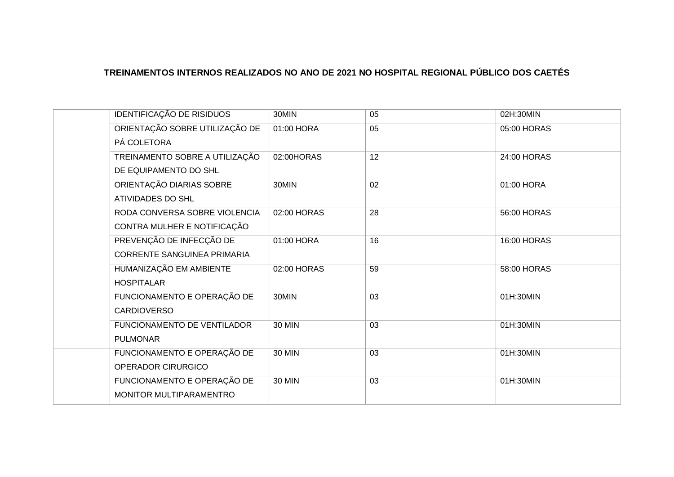| IDENTIFICAÇÃO DE RISIDUOS          | 30MIN         | 05 | 02H:30MIN   |
|------------------------------------|---------------|----|-------------|
| ORIENTAÇÃO SOBRE UTILIZAÇÃO DE     | 01:00 HORA    | 05 | 05:00 HORAS |
| PÁ COLETORA                        |               |    |             |
| TREINAMENTO SOBRE A UTILIZAÇÃO     | 02:00HORAS    | 12 | 24:00 HORAS |
| DE EQUIPAMENTO DO SHL              |               |    |             |
| ORIENTAÇÃO DIARIAS SOBRE           | 30MIN         | 02 | 01:00 HORA  |
| ATIVIDADES DO SHL                  |               |    |             |
| RODA CONVERSA SOBRE VIOLENCIA      | 02:00 HORAS   | 28 | 56:00 HORAS |
| CONTRA MULHER E NOTIFICAÇÃO        |               |    |             |
| PREVENÇÃO DE INFECÇÃO DE           | 01:00 HORA    | 16 | 16:00 HORAS |
| <b>CORRENTE SANGUINEA PRIMARIA</b> |               |    |             |
| HUMANIZAÇÃO EM AMBIENTE            | 02:00 HORAS   | 59 | 58:00 HORAS |
| <b>HOSPITALAR</b>                  |               |    |             |
| FUNCIONAMENTO E OPERAÇÃO DE        | 30MIN         | 03 | 01H:30MIN   |
| <b>CARDIOVERSO</b>                 |               |    |             |
| FUNCIONAMENTO DE VENTILADOR        | <b>30 MIN</b> | 03 | 01H:30MIN   |
| <b>PULMONAR</b>                    |               |    |             |
| FUNCIONAMENTO E OPERAÇÃO DE        | <b>30 MIN</b> | 03 | 01H:30MIN   |
| OPERADOR CIRURGICO                 |               |    |             |
| FUNCIONAMENTO E OPERAÇÃO DE        | <b>30 MIN</b> | 03 | 01H:30MIN   |
| MONITOR MULTIPARAMENTRO            |               |    |             |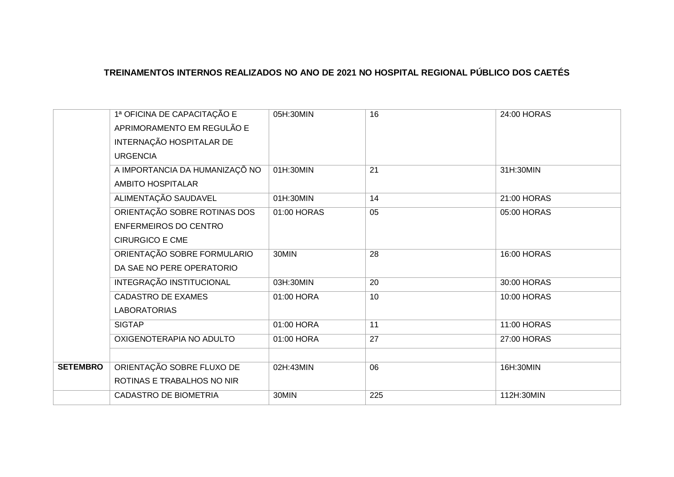|                 | 1ª OFICINA DE CAPACITAÇÃO E    | 05H:30MIN   | 16  | 24:00 HORAS |
|-----------------|--------------------------------|-------------|-----|-------------|
|                 | APRIMORAMENTO EM REGULÃO E     |             |     |             |
|                 | INTERNAÇÃO HOSPITALAR DE       |             |     |             |
|                 | <b>URGENCIA</b>                |             |     |             |
|                 | A IMPORTANCIA DA HUMANIZAÇÕ NO | 01H:30MIN   | 21  | 31H:30MIN   |
|                 | <b>AMBITO HOSPITALAR</b>       |             |     |             |
|                 | ALIMENTAÇÃO SAUDAVEL           | 01H:30MIN   | 14  | 21:00 HORAS |
|                 | ORIENTAÇÃO SOBRE ROTINAS DOS   | 01:00 HORAS | 05  | 05:00 HORAS |
|                 | <b>ENFERMEIROS DO CENTRO</b>   |             |     |             |
|                 | <b>CIRURGICO E CME</b>         |             |     |             |
|                 | ORIENTAÇÃO SOBRE FORMULARIO    | 30MIN       | 28  | 16:00 HORAS |
|                 | DA SAE NO PERE OPERATORIO      |             |     |             |
|                 | INTEGRAÇÃO INSTITUCIONAL       | 03H:30MIN   | 20  | 30:00 HORAS |
|                 | <b>CADASTRO DE EXAMES</b>      | 01:00 HORA  | 10  | 10:00 HORAS |
|                 | <b>LABORATORIAS</b>            |             |     |             |
|                 | <b>SIGTAP</b>                  | 01:00 HORA  | 11  | 11:00 HORAS |
|                 | OXIGENOTERAPIA NO ADULTO       | 01:00 HORA  | 27  | 27:00 HORAS |
|                 |                                |             |     |             |
| <b>SETEMBRO</b> | ORIENTAÇÃO SOBRE FLUXO DE      | 02H:43MIN   | 06  | 16H:30MIN   |
|                 | ROTINAS E TRABALHOS NO NIR     |             |     |             |
|                 | <b>CADASTRO DE BIOMETRIA</b>   | 30MIN       | 225 | 112H:30MIN  |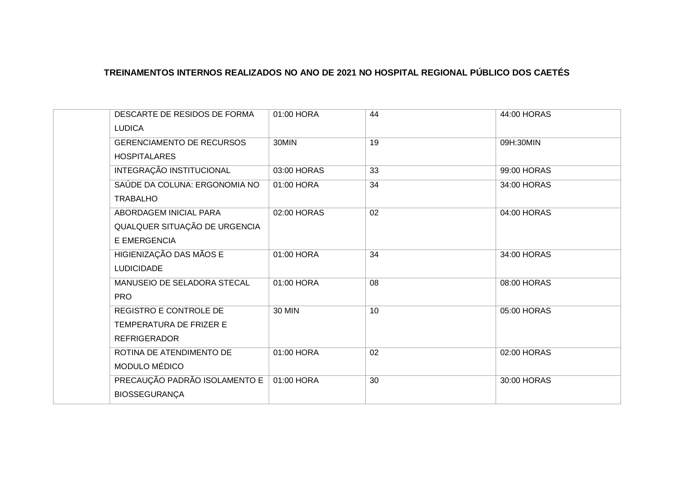| DESCARTE DE RESIDOS DE FORMA     | 01:00 HORA    | 44 | 44:00 HORAS |
|----------------------------------|---------------|----|-------------|
| <b>LUDICA</b>                    |               |    |             |
| <b>GERENCIAMENTO DE RECURSOS</b> | 30MIN         | 19 | 09H:30MIN   |
| <b>HOSPITALARES</b>              |               |    |             |
| <b>INTEGRAÇÃO INSTITUCIONAL</b>  | 03:00 HORAS   | 33 | 99:00 HORAS |
| SAÚDE DA COLUNA: ERGONOMIA NO    | 01:00 HORA    | 34 | 34:00 HORAS |
| <b>TRABALHO</b>                  |               |    |             |
| ABORDAGEM INICIAL PARA           | 02:00 HORAS   | 02 | 04:00 HORAS |
| QUALQUER SITUAÇÃO DE URGENCIA    |               |    |             |
| <b>E EMERGENCIA</b>              |               |    |             |
| HIGIENIZAÇÃO DAS MÃOS E          | 01:00 HORA    | 34 | 34:00 HORAS |
| <b>LUDICIDADE</b>                |               |    |             |
| MANUSEIO DE SELADORA STECAL      | 01:00 HORA    | 08 | 08:00 HORAS |
| <b>PRO</b>                       |               |    |             |
| REGISTRO E CONTROLE DE           | <b>30 MIN</b> | 10 | 05:00 HORAS |
| TEMPERATURA DE FRIZER E          |               |    |             |
| <b>REFRIGERADOR</b>              |               |    |             |
| ROTINA DE ATENDIMENTO DE         | 01:00 HORA    | 02 | 02:00 HORAS |
| MODULO MÉDICO                    |               |    |             |
| PRECAUÇÃO PADRÃO ISOLAMENTO E    | 01:00 HORA    | 30 | 30:00 HORAS |
| <b>BIOSSEGURANÇA</b>             |               |    |             |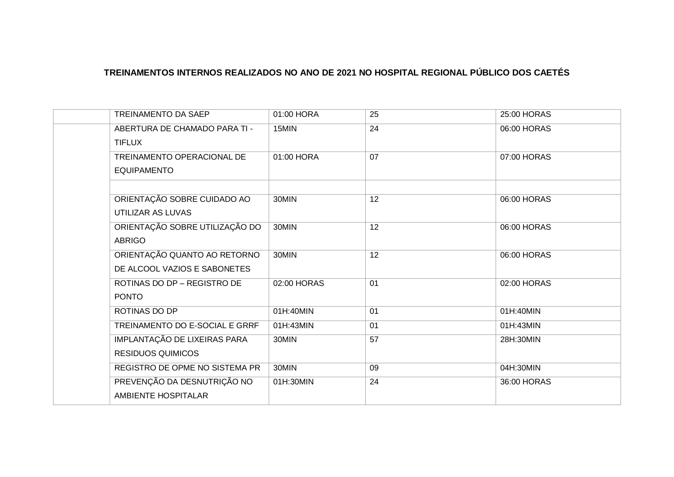| TREINAMENTO DA SAEP            | 01:00 HORA  | 25 | 25:00 HORAS |
|--------------------------------|-------------|----|-------------|
| ABERTURA DE CHAMADO PARA TI -  | 15MIN       | 24 | 06:00 HORAS |
| <b>TIFLUX</b>                  |             |    |             |
| TREINAMENTO OPERACIONAL DE     | 01:00 HORA  | 07 | 07:00 HORAS |
| <b>EQUIPAMENTO</b>             |             |    |             |
|                                |             |    |             |
| ORIENTAÇÃO SOBRE CUIDADO AO    | 30MIN       | 12 | 06:00 HORAS |
| UTILIZAR AS LUVAS              |             |    |             |
| ORIENTAÇÃO SOBRE UTILIZAÇÃO DO | 30MIN       | 12 | 06:00 HORAS |
| <b>ABRIGO</b>                  |             |    |             |
| ORIENTAÇÃO QUANTO AO RETORNO   | 30MIN       | 12 | 06:00 HORAS |
| DE ALCOOL VAZIOS E SABONETES   |             |    |             |
| ROTINAS DO DP - REGISTRO DE    | 02:00 HORAS | 01 | 02:00 HORAS |
| <b>PONTO</b>                   |             |    |             |
| ROTINAS DO DP                  | 01H:40MIN   | 01 | 01H:40MIN   |
| TREINAMENTO DO E-SOCIAL E GRRF | 01H:43MIN   | 01 | 01H:43MIN   |
| IMPLANTAÇÃO DE LIXEIRAS PARA   | 30MIN       | 57 | 28H:30MIN   |
| <b>RESIDUOS QUIMICOS</b>       |             |    |             |
| REGISTRO DE OPME NO SISTEMA PR | 30MIN       | 09 | 04H:30MIN   |
| PREVENÇÃO DA DESNUTRIÇÃO NO    | 01H:30MIN   | 24 | 36:00 HORAS |
| <b>AMBIENTE HOSPITALAR</b>     |             |    |             |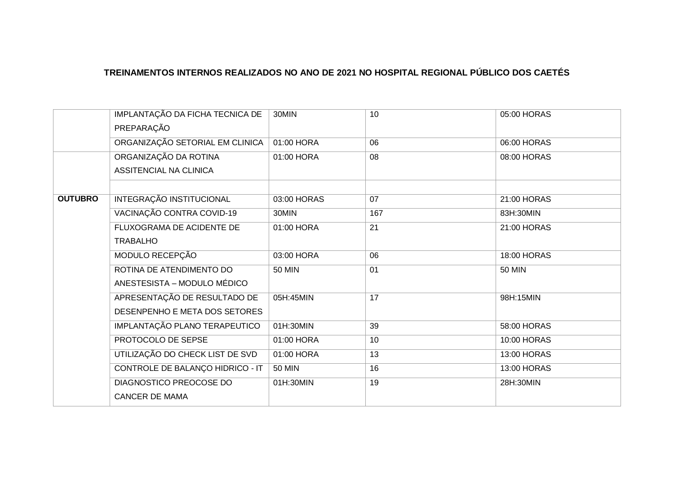|                | IMPLANTAÇÃO DA FICHA TECNICA DE<br>PREPARAÇÃO | 30MIN         | 10  | 05:00 HORAS        |
|----------------|-----------------------------------------------|---------------|-----|--------------------|
|                | ORGANIZAÇÃO SETORIAL EM CLINICA               | 01:00 HORA    | 06  | 06:00 HORAS        |
|                | ORGANIZAÇÃO DA ROTINA                         | 01:00 HORA    | 08  | 08:00 HORAS        |
|                | ASSITENCIAL NA CLINICA                        |               |     |                    |
| <b>OUTUBRO</b> | <b>INTEGRAÇÃO INSTITUCIONAL</b>               | 03:00 HORAS   | 07  | 21:00 HORAS        |
|                | VACINAÇÃO CONTRA COVID-19                     | 30MIN         | 167 | 83H:30MIN          |
|                | FLUXOGRAMA DE ACIDENTE DE                     | 01:00 HORA    | 21  | 21:00 HORAS        |
|                | <b>TRABALHO</b>                               |               |     |                    |
|                | MODULO RECEPÇÃO                               | 03:00 HORA    | 06  | <b>18:00 HORAS</b> |
|                | ROTINA DE ATENDIMENTO DO                      | <b>50 MIN</b> | 01  | <b>50 MIN</b>      |
|                | ANESTESISTA – MODULO MÉDICO                   |               |     |                    |
|                | APRESENTAÇÃO DE RESULTADO DE                  | 05H:45MIN     | 17  | 98H:15MIN          |
|                | DESENPENHO E META DOS SETORES                 |               |     |                    |
|                | IMPLANTAÇÃO PLANO TERAPEUTICO                 | 01H:30MIN     | 39  | 58:00 HORAS        |
|                | PROTOCOLO DE SEPSE                            | 01:00 HORA    | 10  | 10:00 HORAS        |
|                | UTILIZAÇÃO DO CHECK LIST DE SVD               | 01:00 HORA    | 13  | 13:00 HORAS        |
|                | CONTROLE DE BALANÇO HIDRICO - IT              | <b>50 MIN</b> | 16  | 13:00 HORAS        |
|                | DIAGNOSTICO PREOCOSE DO                       | 01H:30MIN     | 19  | 28H:30MIN          |
|                | <b>CANCER DE MAMA</b>                         |               |     |                    |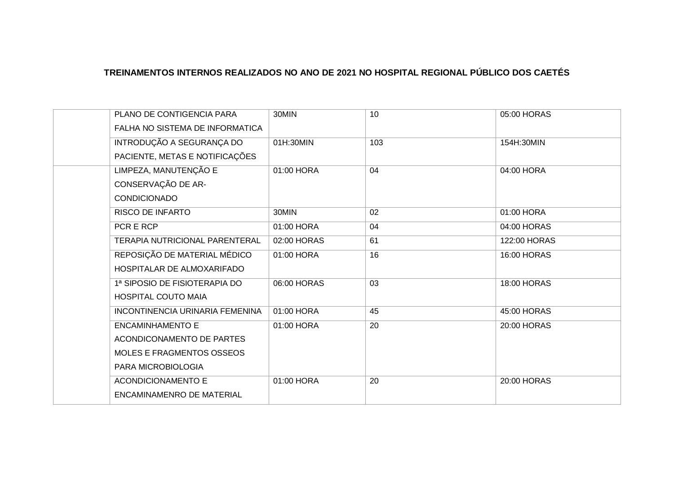| PLANO DE CONTIGENCIA PARA<br>FALHA NO SISTEMA DE INFORMATICA       | 30MIN       | 10  | 05:00 HORAS        |
|--------------------------------------------------------------------|-------------|-----|--------------------|
| INTRODUÇÃO A SEGURANÇA DO<br>PACIENTE, METAS E NOTIFICAÇÕES        | 01H:30MIN   | 103 | 154H:30MIN         |
| LIMPEZA, MANUTENÇÃO E<br>CONSERVAÇÃO DE AR-<br><b>CONDICIONADO</b> | 01:00 HORA  | 04  | 04:00 HORA         |
| <b>RISCO DE INFARTO</b>                                            | 30MIN       | 02  | 01:00 HORA         |
| PCR E RCP                                                          | 01:00 HORA  | 04  | 04:00 HORAS        |
| TERAPIA NUTRICIONAL PARENTERAL                                     | 02:00 HORAS | 61  | 122:00 HORAS       |
| REPOSIÇÃO DE MATERIAL MÉDICO<br>HOSPITALAR DE ALMOXARIFADO         | 01:00 HORA  | 16  | <b>16:00 HORAS</b> |
| 1ª SIPOSIO DE FISIOTERAPIA DO<br><b>HOSPITAL COUTO MAIA</b>        | 06:00 HORAS | 03  | 18:00 HORAS        |
| INCONTINENCIA URINARIA FEMENINA                                    | 01:00 HORA  | 45  | 45:00 HORAS        |
| <b>ENCAMINHAMENTO E</b>                                            | 01:00 HORA  | 20  | 20:00 HORAS        |
| ACONDICONAMENTO DE PARTES                                          |             |     |                    |
| MOLES E FRAGMENTOS OSSEOS                                          |             |     |                    |
| PARA MICROBIOLOGIA                                                 |             |     |                    |
| <b>ACONDICIONAMENTO E</b><br>ENCAMINAMENRO DE MATERIAL             | 01:00 HORA  | 20  | 20:00 HORAS        |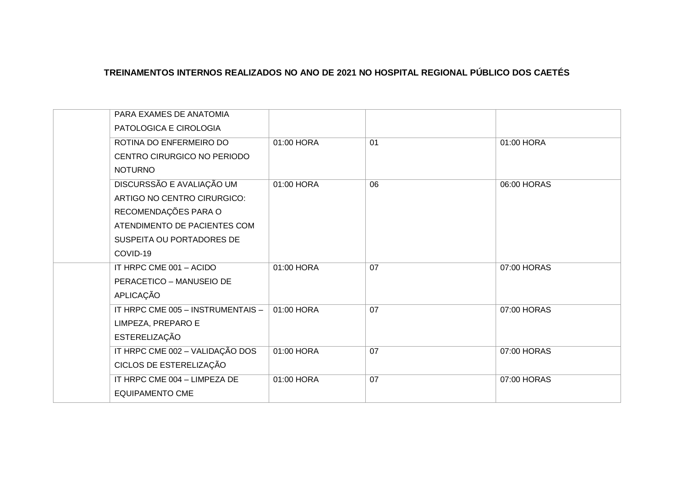| PARA EXAMES DE ANATOMIA<br>PATOLOGICA E CIROLOGIA                                |            |    |             |
|----------------------------------------------------------------------------------|------------|----|-------------|
| ROTINA DO ENFERMEIRO DO<br>CENTRO CIRURGICO NO PERIODO                           | 01:00 HORA | 01 | 01:00 HORA  |
| <b>NOTURNO</b>                                                                   |            |    |             |
| DISCURSSÃO E AVALIAÇÃO UM<br>ARTIGO NO CENTRO CIRURGICO:<br>RECOMENDAÇÕES PARA O | 01:00 HORA | 06 | 06:00 HORAS |
| ATENDIMENTO DE PACIENTES COM<br>SUSPEITA OU PORTADORES DE<br>COVID-19            |            |    |             |
| IT HRPC CME 001 - ACIDO<br>PERACETICO - MANUSEIO DE<br>APLICAÇÃO                 | 01:00 HORA | 07 | 07:00 HORAS |
| IT HRPC CME 005 - INSTRUMENTAIS -<br>LIMPEZA, PREPARO E<br><b>ESTERELIZAÇÃO</b>  | 01:00 HORA | 07 | 07:00 HORAS |
| IT HRPC CME 002 - VALIDAÇÃO DOS<br>CICLOS DE ESTERELIZAÇÃO                       | 01:00 HORA | 07 | 07:00 HORAS |
| IT HRPC CME 004 - LIMPEZA DE<br><b>EQUIPAMENTO CME</b>                           | 01:00 HORA | 07 | 07:00 HORAS |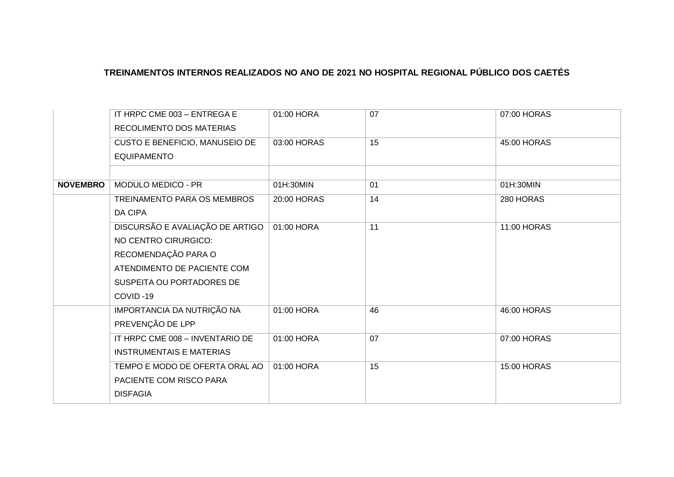|                 | IT HRPC CME 003 - ENTREGA E     | 01:00 HORA  | 07 | 07:00 HORAS        |
|-----------------|---------------------------------|-------------|----|--------------------|
|                 | <b>RECOLIMENTO DOS MATERIAS</b> |             |    |                    |
|                 | CUSTO E BENEFICIO, MANUSEIO DE  | 03:00 HORAS | 15 | 45:00 HORAS        |
|                 | <b>EQUIPAMENTO</b>              |             |    |                    |
|                 |                                 |             |    |                    |
| <b>NOVEMBRO</b> | <b>MODULO MEDICO - PR</b>       | 01H:30MIN   | 01 | 01H:30MIN          |
|                 | TREINAMENTO PARA OS MEMBROS     | 20:00 HORAS | 14 | 280 HORAS          |
|                 | <b>DA CIPA</b>                  |             |    |                    |
|                 | DISCURSÃO E AVALIAÇÃO DE ARTIGO | 01:00 HORA  | 11 | 11:00 HORAS        |
|                 | NO CENTRO CIRURGICO:            |             |    |                    |
|                 | RECOMENDAÇÃO PARA O             |             |    |                    |
|                 | ATENDIMENTO DE PACIENTE COM     |             |    |                    |
|                 | SUSPEITA OU PORTADORES DE       |             |    |                    |
|                 | COVID-19                        |             |    |                    |
|                 | IMPORTANCIA DA NUTRIÇÃO NA      | 01:00 HORA  | 46 | 46:00 HORAS        |
|                 | PREVENÇÃO DE LPP                |             |    |                    |
|                 | IT HRPC CME 008 - INVENTARIO DE | 01:00 HORA  | 07 | 07:00 HORAS        |
|                 | <b>INSTRUMENTAIS E MATERIAS</b> |             |    |                    |
|                 | TEMPO E MODO DE OFERTA ORAL AO  | 01:00 HORA  | 15 | <b>15:00 HORAS</b> |
|                 | PACIENTE COM RISCO PARA         |             |    |                    |
|                 | <b>DISFAGIA</b>                 |             |    |                    |
|                 |                                 |             |    |                    |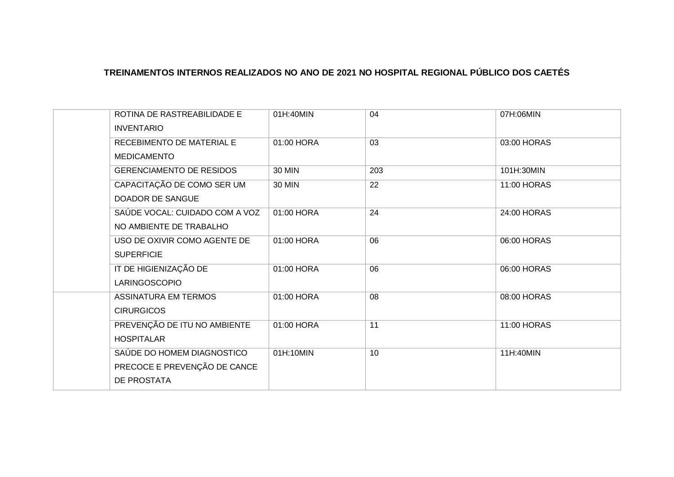| ROTINA DE RASTREABILIDADE E<br><b>INVENTARIO</b>                                 | 01H:40MIN     | 04              | 07H:06MIN   |
|----------------------------------------------------------------------------------|---------------|-----------------|-------------|
| RECEBIMENTO DE MATERIAL E<br><b>MEDICAMENTO</b>                                  | 01:00 HORA    | $\overline{03}$ | 03:00 HORAS |
| <b>GERENCIAMENTO DE RESIDOS</b>                                                  | <b>30 MIN</b> | 203             | 101H:30MIN  |
| CAPACITAÇÃO DE COMO SER UM<br><b>DOADOR DE SANGUE</b>                            | <b>30 MIN</b> | 22              | 11:00 HORAS |
| SAÚDE VOCAL: CUIDADO COM A VOZ<br>NO AMBIENTE DE TRABALHO                        | 01:00 HORA    | 24              | 24:00 HORAS |
| USO DE OXIVIR COMO AGENTE DE<br><b>SUPERFICIE</b>                                | 01:00 HORA    | 06              | 06:00 HORAS |
| IT DE HIGIENIZAÇÃO DE<br>LARINGOSCOPIO                                           | 01:00 HORA    | 06              | 06:00 HORAS |
| <b>ASSINATURA EM TERMOS</b><br><b>CIRURGICOS</b>                                 | 01:00 HORA    | 08              | 08:00 HORAS |
| PREVENÇÃO DE ITU NO AMBIENTE<br><b>HOSPITALAR</b>                                | 01:00 HORA    | 11              | 11:00 HORAS |
| SAÚDE DO HOMEM DIAGNOSTICO<br>PRECOCE E PREVENÇÃO DE CANCE<br><b>DE PROSTATA</b> | 01H:10MIN     | 10              | 11H:40MIN   |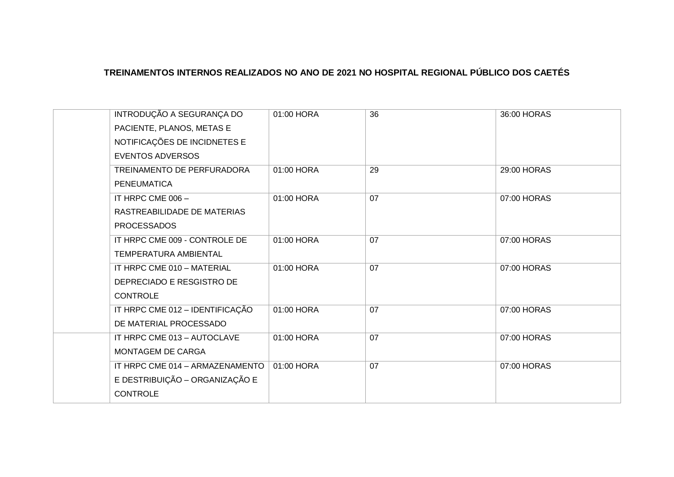| INTRODUÇÃO A SEGURANÇA DO       |                                 | 01:00 HORA | 36 | 36:00 HORAS |
|---------------------------------|---------------------------------|------------|----|-------------|
| PACIENTE, PLANOS, METAS E       |                                 |            |    |             |
| NOTIFICAÇÕES DE INCIDNETES E    |                                 |            |    |             |
| <b>EVENTOS ADVERSOS</b>         |                                 |            |    |             |
| TREINAMENTO DE PERFURADORA      |                                 | 01:00 HORA | 29 | 29:00 HORAS |
| <b>PENEUMATICA</b>              |                                 |            |    |             |
| IT HRPC CME 006 -               |                                 | 01:00 HORA | 07 | 07:00 HORAS |
| RASTREABILIDADE DE MATERIAS     |                                 |            |    |             |
| <b>PROCESSADOS</b>              |                                 |            |    |             |
| IT HRPC CME 009 - CONTROLE DE   |                                 | 01:00 HORA | 07 | 07:00 HORAS |
| TEMPERATURA AMBIENTAL           |                                 |            |    |             |
| IT HRPC CME 010 - MATERIAL      |                                 | 01:00 HORA | 07 | 07:00 HORAS |
| DEPRECIADO E RESGISTRO DE       |                                 |            |    |             |
| <b>CONTROLE</b>                 |                                 |            |    |             |
| IT HRPC CME 012 - IDENTIFICAÇÃO |                                 | 01:00 HORA | 07 | 07:00 HORAS |
| DE MATERIAL PROCESSADO          |                                 |            |    |             |
| IT HRPC CME 013 - AUTOCLAVE     |                                 | 01:00 HORA | 07 | 07:00 HORAS |
| <b>MONTAGEM DE CARGA</b>        |                                 |            |    |             |
|                                 | IT HRPC CME 014 - ARMAZENAMENTO | 01:00 HORA | 07 | 07:00 HORAS |
|                                 | E DESTRIBUIÇÃO - ORGANIZAÇÃO E  |            |    |             |
| <b>CONTROLE</b>                 |                                 |            |    |             |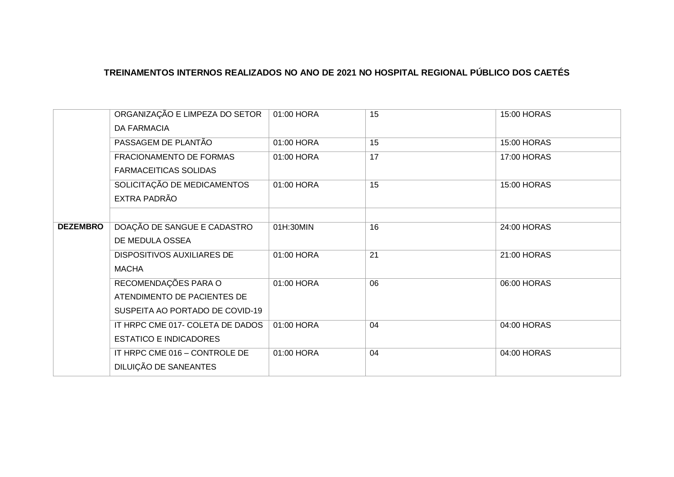|                 | ORGANIZAÇÃO E LIMPEZA DO SETOR<br><b>DA FARMACIA</b> | 01:00 HORA | 15 | 15:00 HORAS        |
|-----------------|------------------------------------------------------|------------|----|--------------------|
|                 | PASSAGEM DE PLANTÃO                                  | 01:00 HORA | 15 | <b>15:00 HORAS</b> |
|                 | FRACIONAMENTO DE FORMAS                              | 01:00 HORA | 17 | 17:00 HORAS        |
|                 | <b>FARMACEITICAS SOLIDAS</b>                         |            |    |                    |
|                 | SOLICITAÇÃO DE MEDICAMENTOS                          | 01:00 HORA | 15 | 15:00 HORAS        |
|                 | EXTRA PADRÃO                                         |            |    |                    |
|                 |                                                      |            |    |                    |
| <b>DEZEMBRO</b> | DOAÇÃO DE SANGUE E CADASTRO                          | 01H:30MIN  | 16 | 24:00 HORAS        |
|                 | DE MEDULA OSSEA                                      |            |    |                    |
|                 | <b>DISPOSITIVOS AUXILIARES DE</b>                    | 01:00 HORA | 21 | 21:00 HORAS        |
|                 | <b>MACHA</b>                                         |            |    |                    |
|                 | RECOMENDAÇÕES PARA O                                 | 01:00 HORA | 06 | 06:00 HORAS        |
|                 | ATENDIMENTO DE PACIENTES DE                          |            |    |                    |
|                 | SUSPEITA AO PORTADO DE COVID-19                      |            |    |                    |
|                 | IT HRPC CME 017- COLETA DE DADOS                     | 01:00 HORA | 04 | 04:00 HORAS        |
|                 | <b>ESTATICO E INDICADORES</b>                        |            |    |                    |
|                 | IT HRPC CME 016 - CONTROLE DE                        | 01:00 HORA | 04 | 04:00 HORAS        |
|                 | DILUIÇÃO DE SANEANTES                                |            |    |                    |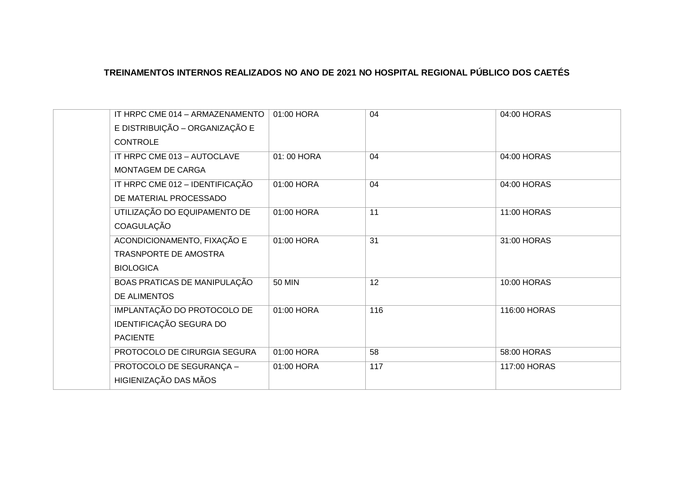| IT HRPC CME 014 - ARMAZENAMENTO | 01:00 HORA    | 04  | 04:00 HORAS  |
|---------------------------------|---------------|-----|--------------|
| E DISTRIBUIÇÃO - ORGANIZAÇÃO E  |               |     |              |
| <b>CONTROLE</b>                 |               |     |              |
| IT HRPC CME 013 - AUTOCLAVE     | 01:00 HORA    | 04  | 04:00 HORAS  |
| MONTAGEM DE CARGA               |               |     |              |
| IT HRPC CME 012 - IDENTIFICAÇÃO | 01:00 HORA    | 04  | 04:00 HORAS  |
| DE MATERIAL PROCESSADO          |               |     |              |
| UTILIZAÇÃO DO EQUIPAMENTO DE    | 01:00 HORA    | 11  | 11:00 HORAS  |
| COAGULAÇÃO                      |               |     |              |
| ACONDICIONAMENTO, FIXAÇÃO E     | 01:00 HORA    | 31  | 31:00 HORAS  |
| <b>TRASNPORTE DE AMOSTRA</b>    |               |     |              |
| <b>BIOLOGICA</b>                |               |     |              |
| BOAS PRATICAS DE MANIPULAÇÃO    | <b>50 MIN</b> | 12  | 10:00 HORAS  |
| DE ALIMENTOS                    |               |     |              |
| IMPLANTAÇÃO DO PROTOCOLO DE     | 01:00 HORA    | 116 | 116:00 HORAS |
| IDENTIFICAÇÃO SEGURA DO         |               |     |              |
| <b>PACIENTE</b>                 |               |     |              |
| PROTOCOLO DE CIRURGIA SEGURA    | 01:00 HORA    | 58  | 58:00 HORAS  |
| PROTOCOLO DE SEGURANÇA -        | 01:00 HORA    | 117 | 117:00 HORAS |
| HIGIENIZAÇÃO DAS MÃOS           |               |     |              |